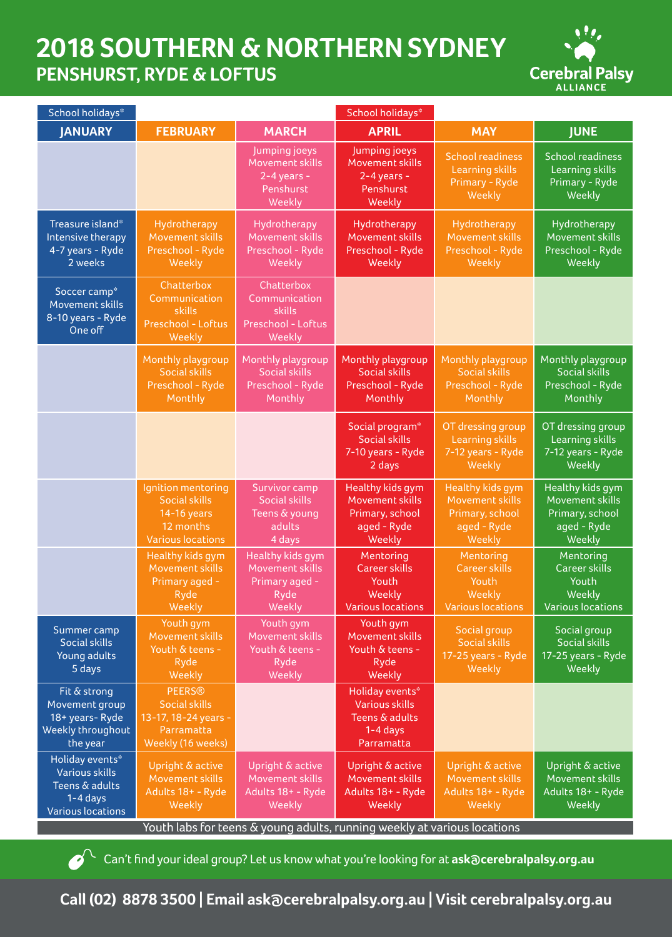## **2018 SOUTHERN & NORTHERN SYDNEY PENSHURST, RYDE & LOFTUS**



| School holidays*                                                                                     |                                                                                                    |                                                                                | School holidays*                                                                       |                                                                                        |                                                                                        |  |
|------------------------------------------------------------------------------------------------------|----------------------------------------------------------------------------------------------------|--------------------------------------------------------------------------------|----------------------------------------------------------------------------------------|----------------------------------------------------------------------------------------|----------------------------------------------------------------------------------------|--|
| <b>JANUARY</b>                                                                                       | <b>FEBRUARY</b>                                                                                    | <b>MARCH</b>                                                                   | <b>APRIL</b>                                                                           | <b>MAY</b>                                                                             | <b>JUNE</b>                                                                            |  |
|                                                                                                      |                                                                                                    | Jumping joeys<br>Movement skills<br>$2-4$ years -<br>Penshurst<br>Weekly       | Jumping joeys<br>Movement skills<br>$2-4$ years -<br>Penshurst<br>Weekly               | <b>School readiness</b><br><b>Learning skills</b><br>Primary - Ryde<br>Weekly          | <b>School readiness</b><br>Learning skills<br>Primary - Ryde<br>Weekly                 |  |
| Treasure island*<br>Intensive therapy<br>4-7 years - Ryde<br>2 weeks                                 | Hydrotherapy<br>Movement skills<br>Preschool - Ryde<br>Weekly                                      | Hydrotherapy<br>Movement skills<br>Preschool - Ryde<br>Weekly                  | Hydrotherapy<br>Movement skills<br>Preschool - Ryde<br>Weekly                          | <b>Hydrotherapy</b><br>Movement skills<br>Preschool - Ryde<br>Weekly                   | Hydrotherapy<br>Movement skills<br>Preschool - Ryde<br>Weekly                          |  |
| Soccer camp*<br>Movement skills<br>8-10 years - Ryde<br>One off                                      | Chatterbox<br>Communication<br>skills<br>Preschool - Loftus<br>Weekly                              | Chatterbox<br>Communication<br>skills<br>Preschool - Loftus<br>Weekly          |                                                                                        |                                                                                        |                                                                                        |  |
|                                                                                                      | Monthly playgroup<br><b>Social skills</b><br>Preschool - Ryde<br>Monthly                           | Monthly playgroup<br><b>Social skills</b><br>Preschool - Ryde<br>Monthly       | Monthly playgroup<br><b>Social skills</b><br>Preschool - Ryde<br>Monthly               | <b>Monthly playgroup</b><br><b>Social skills</b><br>Preschool - Ryde<br>Monthly        | <b>Monthly playgroup</b><br><b>Social skills</b><br>Preschool - Ryde<br>Monthly        |  |
|                                                                                                      |                                                                                                    |                                                                                | Social program*<br><b>Social skills</b><br>7-10 years - Ryde<br>2 days                 | OT dressing group<br><b>Learning skills</b><br>7-12 years - Ryde<br>Weekly             | OT dressing group<br>Learning skills<br>7-12 years - Ryde<br>Weekly                    |  |
|                                                                                                      | Ignition mentoring<br><b>Social skills</b><br>14-16 years<br>12 months<br><b>Various locations</b> | Survivor camp<br><b>Social skills</b><br>Teens & young<br>adults<br>4 days     | Healthy kids gym<br>Movement skills<br>Primary, school<br>aged - Ryde<br>Weekly        | <b>Healthy kids gym</b><br>Movement skills<br>Primary, school<br>aged - Ryde<br>Weekly | Healthy kids gym<br><b>Movement skills</b><br>Primary, school<br>aged - Ryde<br>Weekly |  |
|                                                                                                      | Healthy kids gym<br>Movement skills<br>Primary aged -<br>Ryde<br>Weekly                            | <b>Healthy kids gym</b><br>Movement skills<br>Primary aged -<br>Ryde<br>Weekly | Mentoring<br><b>Career skills</b><br>Youth<br>Weekly<br><b>Various locations</b>       | Mentoring<br><b>Career skills</b><br>Youth<br>Weekly<br><b>Various locations</b>       | Mentoring<br><b>Career skills</b><br>Youth<br>Weekly<br><b>Various locations</b>       |  |
| Summer camp<br><b>Social skills</b><br>Young adults<br>5 days                                        | Youth gym<br>Movement skills<br>Youth & teens -<br>Ryde<br>Weekly                                  | Youth gym<br>Movement skills<br>Youth & teens -<br>Ryde<br>Weekly              | Youth gym<br>Movement skills<br>Youth & teens -<br>Ryde<br>Weekly                      | Social group<br><b>Social skills</b><br>17-25 years - Ryde<br>Weekly                   | Social group<br><b>Social skills</b><br>17-25 years - Ryde<br>Weekly                   |  |
| Fit & strong<br>Movement group<br>18+ years- Ryde<br>Weekly throughout<br>the year                   | <b>PEERS®</b><br><b>Social skills</b><br>13-17, 18-24 years -<br>Parramatta<br>Weekly (16 weeks)   |                                                                                | Holiday events*<br><b>Various skills</b><br>Teens & adults<br>$1-4$ days<br>Parramatta |                                                                                        |                                                                                        |  |
| Holiday events*<br><b>Various skills</b><br>Teens & adults<br>$1-4$ days<br><b>Various locations</b> | Upright & active<br>Movement skills<br>Adults 18+ - Ryde<br>Weekly                                 | Upright & active<br>Movement skills<br>Adults 18+ - Ryde<br>Weekly             | Upright & active<br>Movement skills<br>Adults 18+ - Ryde<br>Weekly                     | Upright & active<br>Movement skills<br>Adults 18+ - Ryde<br>Weekly                     | Upright & active<br>Movement skills<br>Adults 18+ - Ryde<br>Weekly                     |  |
| Youth labs for teens & young adults, running weekly at various locations                             |                                                                                                    |                                                                                |                                                                                        |                                                                                        |                                                                                        |  |

Can't find your ideal group? Let us know what you're looking for at **ask@cerebralpalsy.org.au** 

**Call (02) 8878 3500 | Email ask@cerebralpalsy.org.au | Visit cerebralpalsy.org.au**